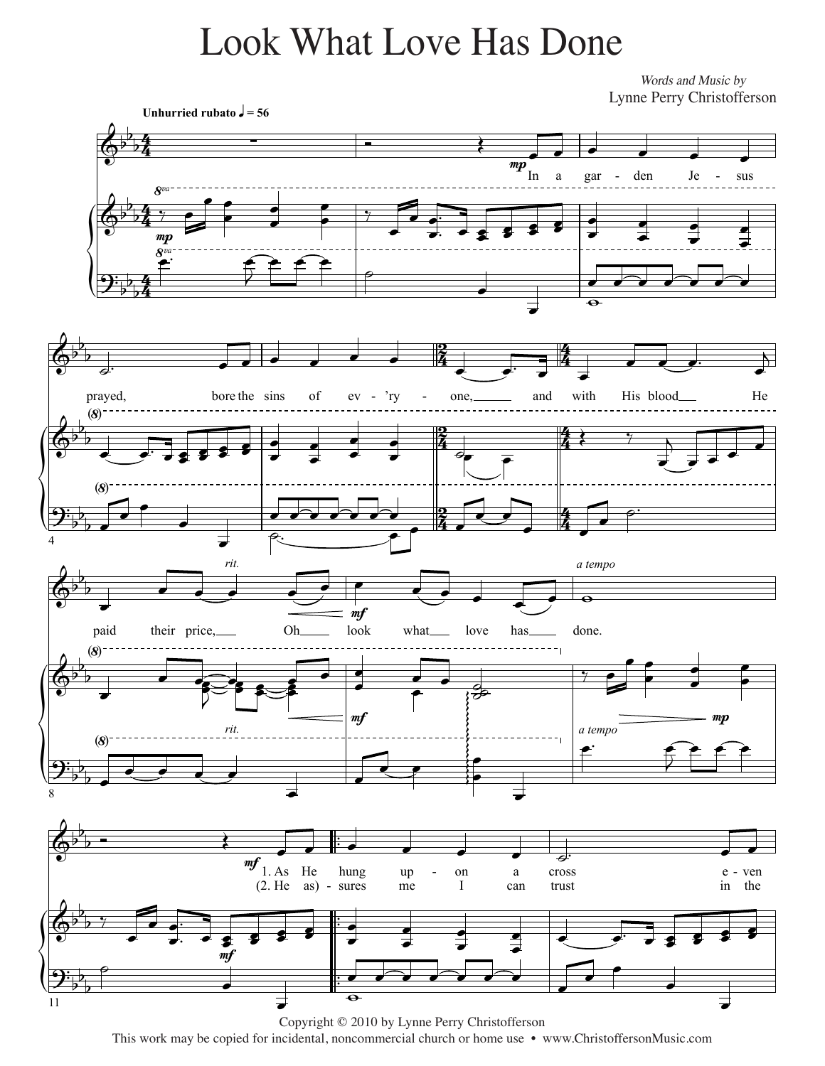## Look What Love Has Done Look What Love Has Done

*Lyrics and Music by* Words and Music by Lynne Perry Christofferson Lynne Perry Christofferson



Copyright © 2010 by Lynne Perry Christofferson Copyright © 2010 by Lynne Perry Christofferson This work may be copied for incidental, noncommercial church or home use • www.ChristoffersonMusic.com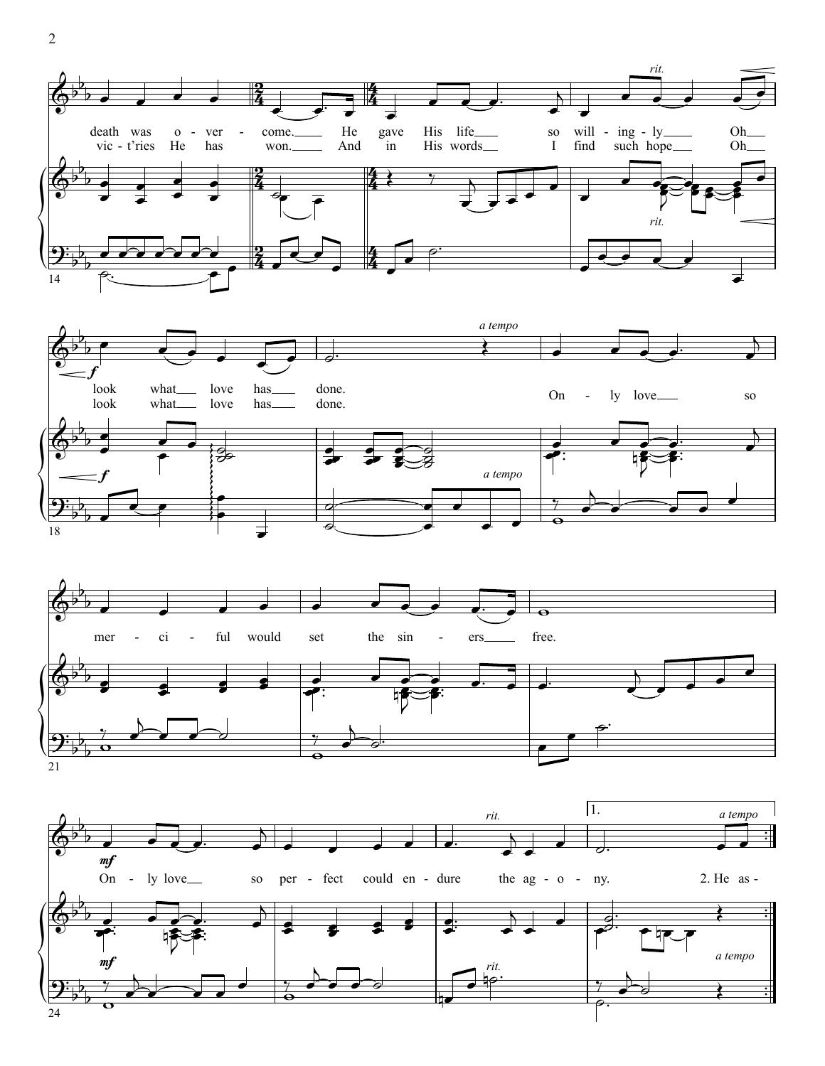